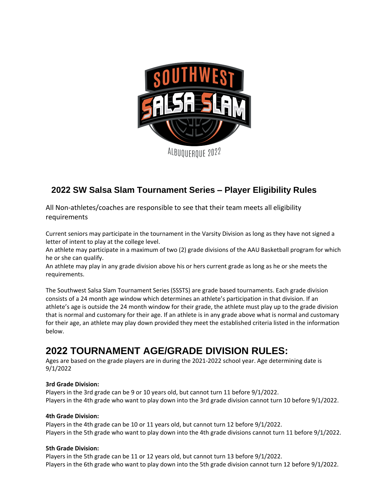

# **2022 SW Salsa Slam Tournament Series – Player Eligibility Rules**

All Non‐athletes/coaches are responsible to see that their team meets all eligibility requirements

Current seniors may participate in the tournament in the Varsity Division as long as they have not signed a letter of intent to play at the college level.

An athlete may participate in a maximum of two (2) grade divisions of the AAU Basketball program for which he or she can qualify.

An athlete may play in any grade division above his or hers current grade as long as he or she meets the requirements.

The Southwest Salsa Slam Tournament Series (SSSTS) are grade based tournaments. Each grade division consists of a 24 month age window which determines an athlete's participation in that division. If an athlete's age is outside the 24 month window for their grade, the athlete must play up to the grade division that is normal and customary for their age. If an athlete is in any grade above what is normal and customary for their age, an athlete may play down provided they meet the established criteria listed in the information below.

# **2022 TOURNAMENT AGE/GRADE DIVISION RULES:**

Ages are based on the grade players are in during the 2021-2022 school year. Age determining date is 9/1/2022

# **3rd Grade Division:**

Players in the 3rd grade can be 9 or 10 years old, but cannot turn 11 before 9/1/2022. Players in the 4th grade who want to play down into the 3rd grade division cannot turn 10 before 9/1/2022.

## **4th Grade Division:**

Players in the 4th grade can be 10 or 11 years old, but cannot turn 12 before 9/1/2022. Players in the 5th grade who want to play down into the 4th grade divisions cannot turn 11 before 9/1/2022.

## **5th Grade Division:**

Players in the 5th grade can be 11 or 12 years old, but cannot turn 13 before 9/1/2022. Players in the 6th grade who want to play down into the 5th grade division cannot turn 12 before 9/1/2022.